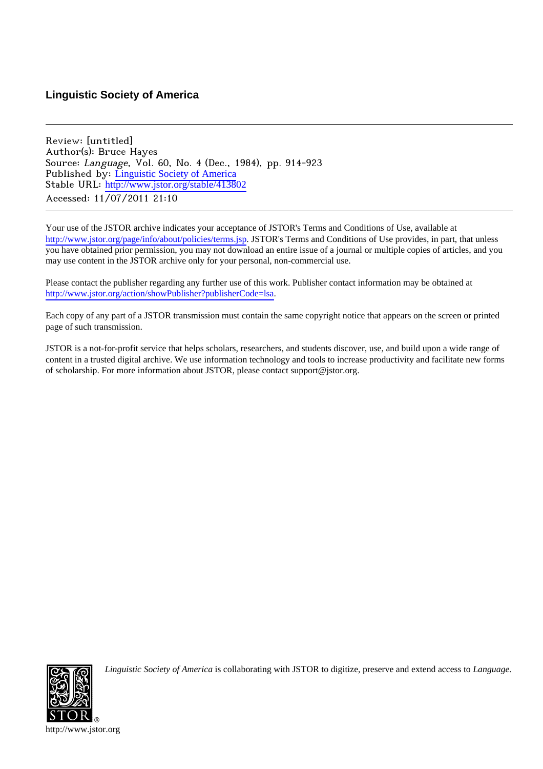# **Linguistic Society of America**

Review: [untitled] Author(s): Bruce Hayes Source: Language, Vol. 60, No. 4 (Dec., 1984), pp. 914-923 Published by: [Linguistic Society of America](http://www.jstor.org/action/showPublisher?publisherCode=lsa) Stable URL: http://www.jstor.org/stable/413802 Accessed: 11/07/2011 21:10

Your use of the JSTOR archive indicates your acceptance of JSTOR's Terms and Conditions of Use, available at <http://www.jstor.org/page/info/about/policies/terms.jsp>. JSTOR's Terms and Conditions of Use provides, in part, that unless you have obtained prior permission, you may not download an entire issue of a journal or multiple copies of articles, and you may use content in the JSTOR archive only for your personal, non-commercial use.

Please contact the publisher regarding any further use of this work. Publisher contact information may be obtained at <http://www.jstor.org/action/showPublisher?publisherCode=lsa>. .

Each copy of any part of a JSTOR transmission must contain the same copyright notice that appears on the screen or printed page of such transmission.

JSTOR is a not-for-profit service that helps scholars, researchers, and students discover, use, and build upon a wide range of content in a trusted digital archive. We use information technology and tools to increase productivity and facilitate new forms of scholarship. For more information about JSTOR, please contact support@jstor.org.



*Linguistic Society of America* is collaborating with JSTOR to digitize, preserve and extend access to *Language.*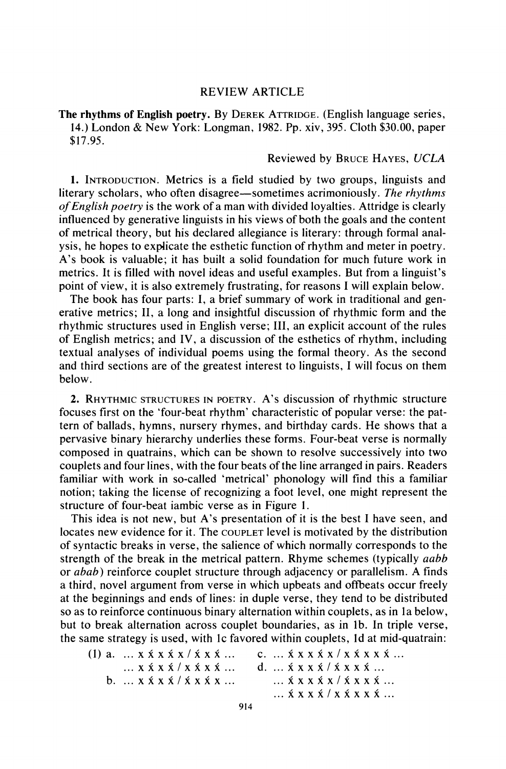## **REVIEW ARTICLE**

**The rhythms of English poetry. By DEREK ATTRIDGE. (English language series, 14.) London & New York: Longman, 1982. Pp. xiv, 395. Cloth \$30.00, paper \$17.95.** 

## **Reviewed by BRUCE HAYES, UCLA**

**1. INTRODUCTION. Metrics is a field studied by two groups, linguists and literary scholars, who often disagree-sometimes acrimoniously. The rhythms of English poetry is the work of a man with divided loyalties. Attridge is clearly influenced by generative linguists in his views of both the goals and the content of metrical theory, but his declared allegiance is literary: through formal analysis, he hopes to explicate the esthetic function of rhythm and meter in poetry. A's book is valuable; it has built a solid foundation for much future work in metrics. It is filled with novel ideas and useful examples. But from a linguist's point of view, it is also extremely frustrating, for reasons I will explain below.** 

**The book has four parts: I, a brief summary of work in traditional and generative metrics; II, a long and insightful discussion of rhythmic form and the rhythmic structures used in English verse; III, an explicit account of the rules of English metrics; and IV, a discussion of the esthetics of rhythm, including textual analyses of individual poems using the formal theory. As the second and third sections are of the greatest interest to linguists, I will focus on them below.** 

**2. RHYTHMIC STRUCTURES INPOETRY. A's discussion of rhythmic structure focuses first on the 'four-beat rhythm' characteristic of popular verse: the pattern of ballads, hymns, nursery rhymes, and birthday cards. He shows that a pervasive binary hierarchy underlies these forms. Four-beat verse is normally composed in quatrains, which can be shown to resolve successively into two couplets and four lines, with the four beats of the line arranged in pairs. Readers familiar with work in so-called 'metrical' phonology will find this a familiar notion; taking the license of recognizing a foot level, one might represent the structure of four-beat iambic verse as in Figure 1.** 

**This idea is not new, but A's presentation of it is the best I have seen, and locates new evidence for it. The COUPLET level is motivated by the distribution of syntactic breaks in verse, the salience of which normally corresponds to the strength of the break in the metrical pattern. Rhyme schemes (typically aabb or abab) reinforce couplet structure through adjacency or parallelism. A finds a third, novel argument from verse in which upbeats and offbeats occur freely at the beginnings and ends of lines: in duple verse, they tend to be distributed so as to reinforce continuous binary alternation within couplets, as in la below, but to break alternation across couplet boundaries, as in lb. In triple verse, the same strategy is used, with lc favored within couplets, Id at mid-quatrain:** 

|                                                                                                                              | (1) a.  x x́ x x́ x / x́ x x́  c.  x́ x x x́ x / x x́ x x x́                             |
|------------------------------------------------------------------------------------------------------------------------------|------------------------------------------------------------------------------------------|
|                                                                                                                              | $x \times x \times x / x \times x \times $ d. $x \times x \times x / x \times x \times $ |
| b. $\ldots$ $\mathbf{x}$ $\mathbf{x}$ $\mathbf{x}$ $\mathbf{x}$ $\mathbf{x}$ $\mathbf{x}$ $\mathbf{x}$ $\mathbf{x}$ $\ldots$ | x x x x x / x x x x x                                                                    |
|                                                                                                                              | x x x x / x x x x x x                                                                    |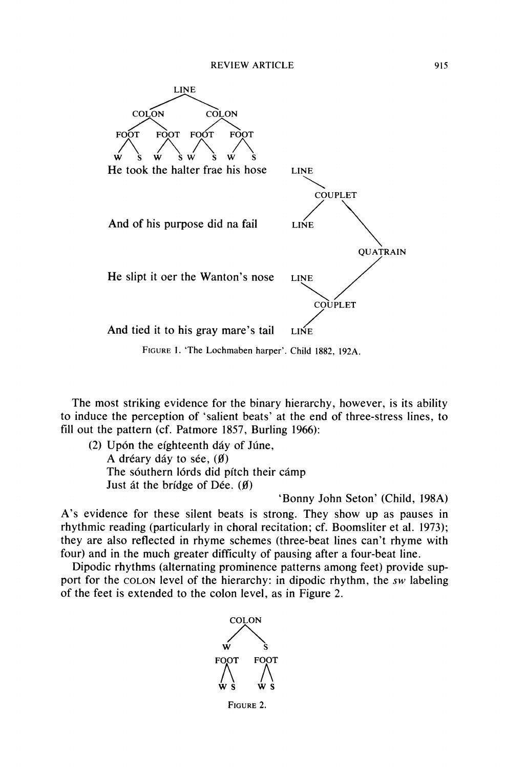

**FIGURE 1. 'The Lochmaben harper'. Child 1882, 192A.** 

**The most striking evidence for the binary hierarchy, however, is its ability to induce the perception of 'salient beats' at the end of three-stress lines, to fill out the pattern (cf. Patmore 1857, Burling 1966):** 

**(2) Upon the eighteenth day of June,**  A dréary dáy to sée, (Ø) The sóuthern lórds did pítch their cámp **Just at the bridge of Dée.** ( $\emptyset$ )

**'Bonny John Seton' (Child, 198A)** 

**A's evidence for these silent beats is strong. They show up as pauses in rhythmic reading (particularly in choral recitation; cf. Boomsliter et al. 1973); they are also reflected in rhyme schemes (three-beat lines can't rhyme with four) and in the much greater difficulty of pausing after a four-beat line.** 

**Dipodic rhythms (alternating prominence patterns among feet) provide support for the COLON level of the hierarchy: in dipodic rhythm, the sw labeling of the feet is extended to the colon level, as in Figure 2.** 



**FIGURE 2.**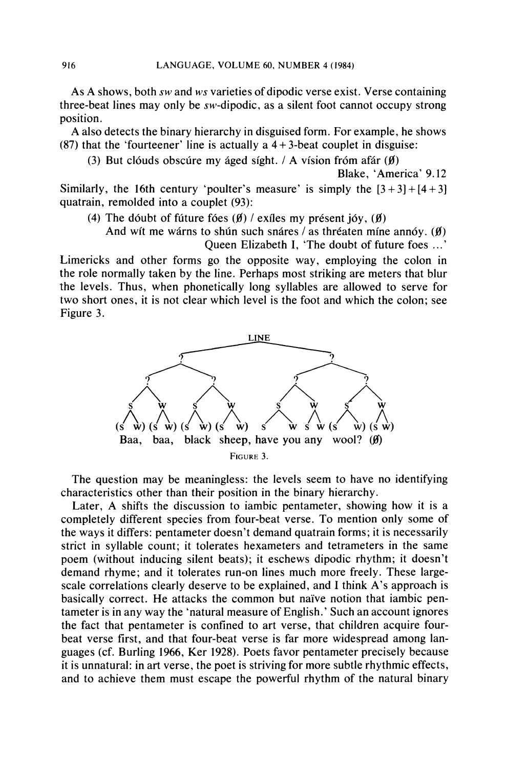**As A shows, both sw and ws varieties of dipodic verse exist. Verse containing three-beat lines may only be sw-dipodic, as a silent foot cannot occupy strong position.** 

**A also detects the binary hierarchy in disguised form. For example, he shows (87) that the 'fourteener' line is actually a 4 + 3-beat couplet in disguise:** 

(3) But clóuds obscúre my áged síght.  $/$  A vísion fróm afár  $(\emptyset)$ 

**Blake, 'America' 9.12** 

Similarly, the 16th century 'poulter's measure' is simply the  $[3+3]+[4+3]$ **quatrain, remolded into a couplet (93):** 

- (4) The doubt of future foes  $(\emptyset)$  / exiles my present joy,  $(\emptyset)$ 
	- And wit me wárns to shún such snáres / as thréaten míne annóy. **(g) Queen Elizabeth I, 'The doubt of future foes ...'**

**Limericks and other forms go the opposite way, employing the colon in the role normally taken by the line. Perhaps most striking are meters that blur the levels. Thus, when phonetically long syllables are allowed to serve for two short ones, it is not clear which level is the foot and which the colon; see Figure 3.** 



**The question may be meaningless: the levels seem to have no identifying characteristics other than their position in the binary hierarchy.** 

**Later, A shifts the discussion to iambic pentameter, showing how it is a completely different species from four-beat verse. To mention only some of the ways it differs: pentameter doesn't demand quatrain forms; it is necessarily strict in syllable count; it tolerates hexameters and tetrameters in the same poem (without inducing silent beats); it eschews dipodic rhythm; it doesn't demand rhyme; and it tolerates run-on lines much more freely. These largescale correlations clearly deserve to be explained, and I think A's approach is basically correct. He attacks the common but naive notion that iambic pentameter is in any way the 'natural measure of English.' Such an account ignores the fact that pentameter is confined to art verse, that children acquire fourbeat verse first, and that four-beat verse is far more widespread among languages (cf. Burling 1966, Ker 1928). Poets favor pentameter precisely because it is unnatural: in art verse, the poet is striving for more subtle rhythmic effects, and to achieve them must escape the powerful rhythm of the natural binary**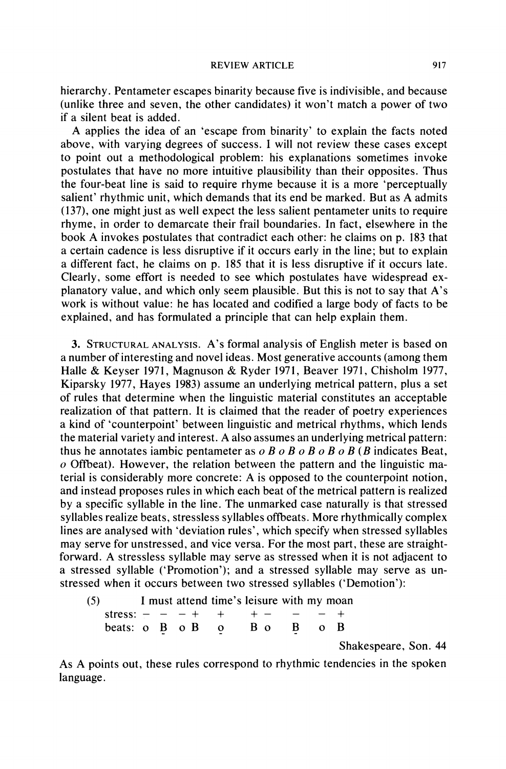**hierarchy. Pentameter escapes binarity because five is indivisible, and because (unlike three and seven, the other candidates) it won't match a power of two if a silent beat is added.** 

**A applies the idea of an 'escape from binarity' to explain the facts noted above, with varying degrees of success. I will not review these cases except to point out a methodological problem: his explanations sometimes invoke postulates that have no more intuitive plausibility than their opposites. Thus the four-beat line is said to require rhyme because it is a more 'perceptually salient' rhythmic unit, which demands that its end be marked. But as A admits (137), one might just as well expect the less salient pentameter units to require rhyme, in order to demarcate their frail boundaries. In fact, elsewhere in the book A invokes postulates that contradict each other: he claims on p. 183 that a certain cadence is less disruptive if it occurs early in the line; but to explain a different fact, he claims on p. 185 that it is less disruptive if it occurs late. Clearly, some effort is needed to see which postulates have widespread explanatory value, and which only seem plausible. But this is not to say that A's work is without value: he has located and codified a large body of facts to be explained, and has formulated a principle that can help explain them.** 

**3. STRUCTURAL ANALYSIS. A's formal analysis of English meter is based on a number of interesting and novel ideas. Most generative accounts (among them Halle & Keyser 1971, Magnuson & Ryder 1971, Beaver 1971, Chisholm 1977, Kiparsky 1977, Hayes 1983) assume an underlying metrical pattern, plus a set of rules that determine when the linguistic material constitutes an acceptable realization of that pattern. It is claimed that the reader of poetry experiences a kind of 'counterpoint' between linguistic and metrical rhythms, which lends the material variety and interest. A also assumes an underlying metrical pattern: thus he annotates iambic pentameter as o B o B o B o B o B (B indicates Beat, o Offbeat). However, the relation between the pattern and the linguistic material is considerably more concrete: A is opposed to the counterpoint notion, and instead proposes rules in which each beat of the metrical pattern is realized by a specific syllable in the line. The unmarked case naturally is that stressed syllables realize beats, stressless syllables offbeats. More rhythmically complex lines are analysed with 'deviation rules', which specify when stressed syllables may serve for unstressed, and vice versa. For the most part, these are straightforward. A stressless syllable may serve as stressed when it is not adjacent to a stressed syllable ('Promotion'); and a stressed syllable may serve as unstressed when it occurs between two stressed syllables ('Demotion'):** 

(5) I must attend time's leisure with my moan stress:  $+$   $+$   $+$   $+$  $stress: - - +$ **beats: o B o B o Bo B o B** 

**Shakespeare, Son. 44** 

**As A points out, these rules correspond to rhythmic tendencies in the spoken language.**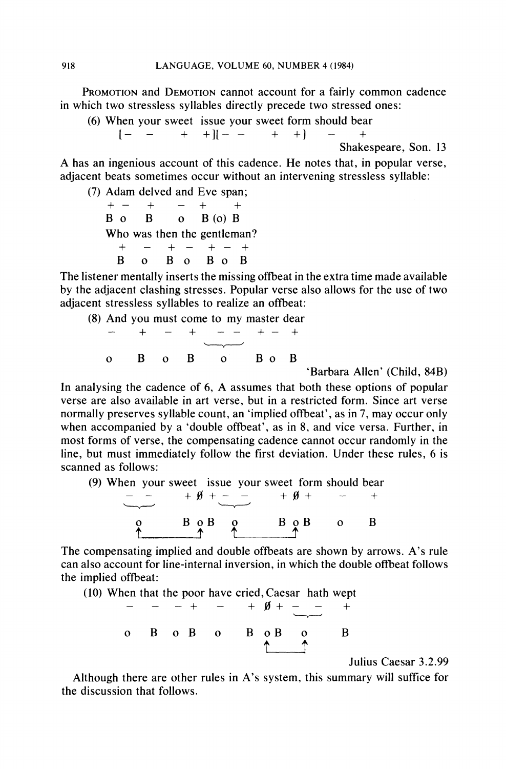**PROMOTION and DEMOTION cannot account for a fairly common cadence in which two stressless syllables directly precede two stressed ones:** 

**(6) When your sweet issue your sweet form should bear** 

 $[- - + +][- - + +]$ **Shakespeare, Son. 13** 

**A has an ingenious account of this cadence. He notes that, in popular verse, adjacent beats sometimes occur without an intervening stressless syllable:** 

(7) Adam delved and Eve span;<br> $+ - + - + - + +$  $- + - +$ **Bo B o B (o) B**  Who was then the gentleman?<br> $+$  -  $+$  -  $+$  -  $+$  $-$  + - + - +<br>0 B o B o R **B o B o Bo B** 

**The listener mentally inserts the missing offbeat in the extra time made available by the adjacent clashing stresses. Popular verse also allows for the use of two adjacent stressless syllables to realize an offbeat:** 

**(8) And you must come to my master dear - + - + -- +- <sup>+</sup> o B o B o Bo B** 

**'Barbara Allen' (Child, 84B)** 

**In analysing the cadence of 6, A assumes that both these options of popular verse are also available in art verse, but in a restricted form. Since art verse normally preserves syllable count, an 'implied offbeat', as in 7, may occur only when accompanied by a 'double offbeat', as in 8, and vice versa. Further, in most forms of verse, the compensating cadence cannot occur randomly in the line, but must immediately follow the first deviation. Under these rules, 6 is scanned as follows:** 

(9) When your sweet issue your sweet form should bear  $+$   $\beta$  +  $+$   $\beta$  +  $+$  $+0+$  -  $+0+$ **o B o B o B o B o B o B** 

**The compensating implied and double offbeats are shown by arrows. A's rule can also account for line-internal inversion, in which the double offbeat follows the implied offbeat:** 

(10) When that the poor have cried, Caesar hath wept  $\begin{array}{cccc} - & - & + & - & + & \emptyset & + & - & - & + \end{array}$  $+$   $+$   $\cancel{0}$  +  $-$ **Bo B oB BoB o B**   $\mathbf{0}$ 

**Julius Caesar 3.2.99** 

**Although there are other rules in A's system, this summary will suffice for the discussion that follows.**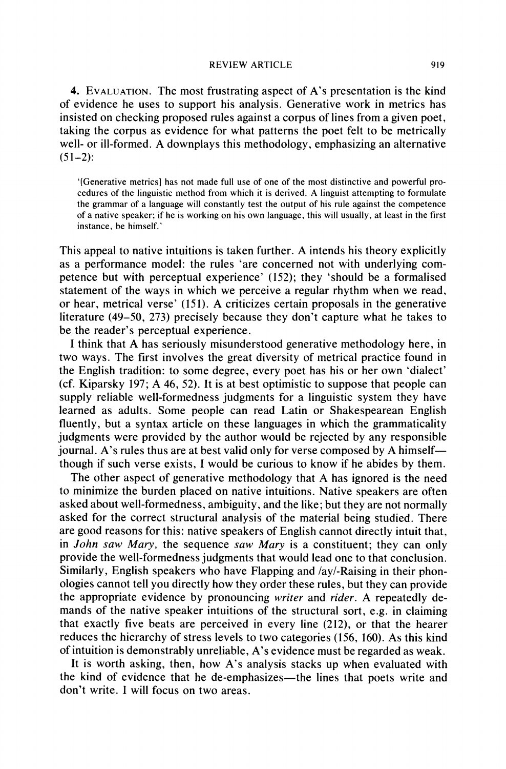**4. EVALUATION. The most frustrating aspect of A's presentation is the kind of evidence he uses to support his analysis. Generative work in metrics has insisted on checking proposed rules against a corpus of lines from a given poet, taking the corpus as evidence for what patterns the poet felt to be metrically well- or ill-formed. A downplays this methodology, emphasizing an alternative**   $(51-2)$ :

**'[Generative metrics] has not made full use of one of the most distinctive and powerful procedures of the linguistic method from which it is derived. A linguist attempting to formulate the grammar of a language will constantly test the output of his rule against the competence of a native speaker; if he is working on his own language, this will usually, at least in the first instance, be himself.'** 

**This appeal to native intuitions is taken further. A intends his theory explicitly as a performance model: the rules 'are concerned not with underlying competence but with perceptual experience' (152); they 'should be a formalised statement of the ways in which we perceive a regular rhythm when we read, or hear, metrical verse' (151). A criticizes certain proposals in the generative literature (49-50, 273) precisely because they don't capture what he takes to be the reader's perceptual experience.** 

**I think that A has seriously misunderstood generative methodology here, in two ways. The first involves the great diversity of metrical practice found in the English tradition: to some degree, every poet has his or her own 'dialect' (cf. Kiparsky 197; A 46, 52). It is at best optimistic to suppose that people can supply reliable well-formedness judgments for a linguistic system they have learned as adults. Some people can read Latin or Shakespearean English fluently, but a syntax article on these languages in which the grammaticality judgments were provided by the author would be rejected by any responsible journal. A's rules thus are at best valid only for verse composed by A himselfthough if such verse exists, I would be curious to know if he abides by them.** 

**The other aspect of generative methodology that A has ignored is the need to minimize the burden placed on native intuitions. Native speakers are often asked about well-formedness, ambiguity, and the like; but they are not normally asked for the correct structural analysis of the material being studied. There are good reasons for this: native speakers of English cannot directly intuit that, in John saw Mary, the sequence saw Mary is a constituent; they can only provide the well-formedness judgments that would lead one to that conclusion. Similarly, English speakers who have Flapping and /ay/-Raising in their phonologies cannot tell you directly how they order these rules, but they can provide the appropriate evidence by pronouncing writer and rider. A repeatedly demands of the native speaker intuitions of the structural sort, e.g. in claiming that exactly five beats are perceived in every line (212), or that the hearer reduces the hierarchy of stress levels to two categories (156, 160). As this kind of intuition is demonstrably unreliable, A's evidence must be regarded as weak.** 

**It is worth asking, then, how A's analysis stacks up when evaluated with the kind of evidence that he de-emphasizes-the lines that poets write and don't write. I will focus on two areas.**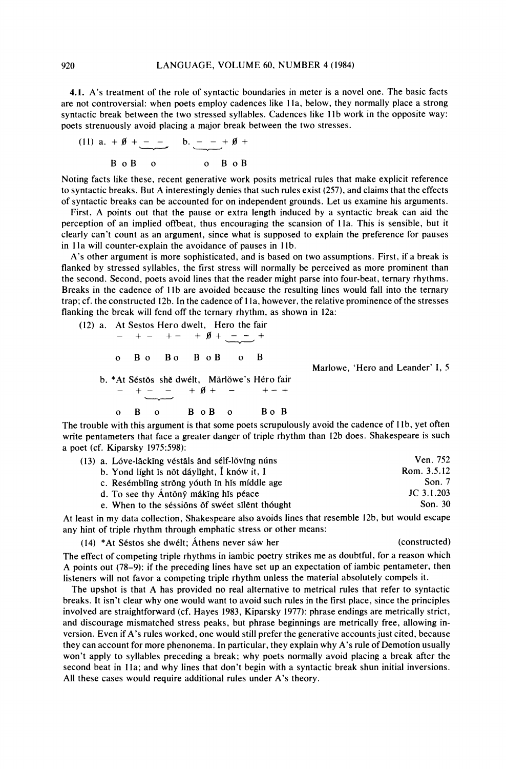**4.1. A's treatment of the role of syntactic boundaries in meter is a novel one. The basic facts are not controversial: when poets employ cadences like I la, below, they normally place a strong syntactic break between the two stressed syllables. Cadences like I lb work in the opposite way: poets strenuously avoid placing a major break between the two stresses.** 

(11) a.  $+ \cancel{0} + \underline{\hspace{1cm}}$  b.  $- - + \cancel{0} +$ **BoB o o BoB** 

**Noting facts like these, recent generative work posits metrical rules that make explicit reference to syntactic breaks. But A interestingly denies that such rules exist (257), and claims that the effects of syntactic breaks can be accounted for on independent grounds. Let us examine his arguments.** 

**First, A points out that the pause or extra length induced by a syntactic break can aid the perception of an implied offbeat, thus encouraging the scansion of lla. This is sensible, but it clearly can't count as an argument, since what is supposed to explain the preference for pauses**  in 11a will counter-explain the avoidance of pauses in 11b.

**A's other argument is more sophisticated, and is based on two assumptions. First, if a break is flanked by stressed syllables, the first stress will normally be perceived as more prominent than the second. Second, poets avoid lines that the reader might parse into four-beat, ternary rhythms. Breaks in the cadence of lb are avoided because the resulting lines would fall into the ternary trap; cf. the constructed 12b. In the cadence of I la, however, the relative prominence of the stresses flanking the break will fend off the ternary rhythm, as shown in 12a:** 

|                                              |  |  |  | (12) a. At Sestos Hero dwelt, Hero the fair          |  |                                   |                                  |
|----------------------------------------------|--|--|--|------------------------------------------------------|--|-----------------------------------|----------------------------------|
|                                              |  |  |  | $- + - + - + \emptyset + \underline{\hspace{1cm}} +$ |  |                                   |                                  |
|                                              |  |  |  | o Bo Bo BoB o B                                      |  |                                   | Marlowe, 'Hero and Leander' I, 5 |
| b. *At Séstős she dwélt, Mărlowe's Héro fair |  |  |  |                                                      |  |                                   |                                  |
|                                              |  |  |  |                                                      |  | $- + - - + \emptyset + - - + - +$ |                                  |
|                                              |  |  |  |                                                      |  | o Bo BoBo BoB                     |                                  |

**The trouble with this argument is that some poets scrupulously avoid the cadence of I Ib, yet often write pentameters that face a greater danger of triple rhythm than 12b does. Shakespeare is such a poet (cf. Kiparsky 1975:598):** 

| (13) a. Lóve-lăckĭng véstăls ănd sélf-lŏvĭng núns | Ven. 752     |
|---------------------------------------------------|--------------|
| b. Yond líght is nót dáylight, Í knów it, I       | Rom. 3.5.12  |
| c. Resémbling strong vouth in his middle age      | Son. $7$     |
| d. To see thy Antony máking his péace             | $JC$ 3.1.203 |
| e. When to the séssions of swéet silent thought   | Son. 30      |
|                                                   |              |

**At least in my data collection, Shakespeare also avoids lines that resemble 12b, but would escape any hint of triple rhythm through emphatic stress or other means:** 

(14) \*At Séstos she dwélt; Athens never saw her (constructed)

**The effect of competing triple rhythms in iambic poetry strikes me as doubtful, for a reason which A points out (78-9): if the preceding lines have set up an expectation of iambic pentameter, then listeners will not favor a competing triple rhythm unless the material absolutely compels it.** 

**The upshot is that A has provided no real alternative to metrical rules that refer to syntactic breaks. It isn't clear why one would want to avoid such rules in the first place, since the principles involved are straightforward (cf. Hayes 1983, Kiparsky 1977): phrase endings are metrically strict, and discourage mismatched stress peaks, but phrase beginnings are metrically free, allowing inversion. Even if A's rules worked, one would still prefer the generative accounts just cited, because they can account for more phenonema. In particular, they explain why A's rule of Demotion usually won't apply to syllables preceding a break; why poets normally avoid placing a break after the second beat in I la; and why lines that don't begin with a syntactic break shun initial inversions. All these cases would require additional rules under A's theory.**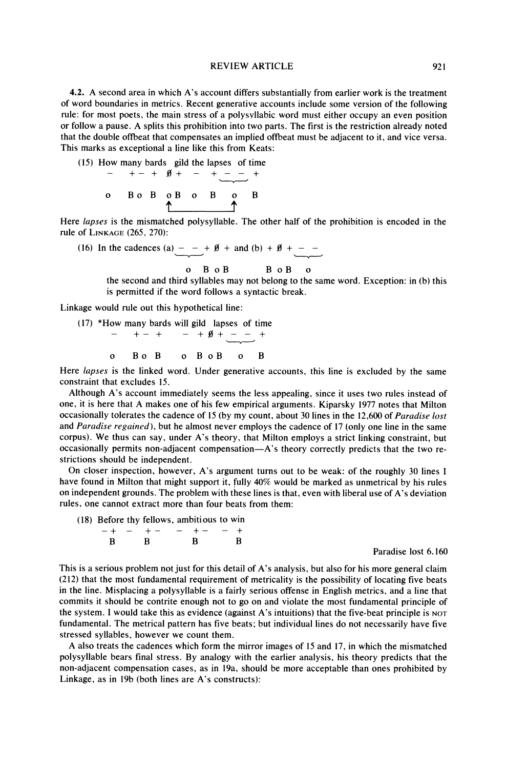#### **REVIEW ARTICLE**

**4.2. A second area in which A's account differs substantially from earlier work is the treatment of word boundaries in metrics. Recent generative accounts include some version of the following rule: for most poets, the main stress of a polysyllabic word must either occupy an even position or follow a pause. A splits this prohibition into two parts. The first is the restriction already noted that the double offbeat that compensates an implied offbeat must be adjacent to it, and vice versa. This marks as exceptional a line like this from Keats:** 

**(15) How many bards gild the lapses of time**   $-$  + - +  $\cancel{0}$  + - + - **o Bo B oB o B o B t t** 

**Here lapses is the mismatched polysyllable. The other half of the prohibition is encoded in the rule of LINKAGE (265, 270):** 

(16) In the cadences (a) 
$$
- - + \emptyset +
$$
 and (b)  $+\emptyset + - -$ 

**o BoB BoB o** 

**the second and third syllables may not belong to the same word. Exception: in (b) this is permitted if the word follows a syntactic break.** 

**Linkage would rule out this hypothetical line:** 

**(17) \*How many bards will gild lapses of time**   $+ - +$   $- + \emptyset + - - +$ **o Bo B o BoB o B** 

**Here lapses is the linked word. Under generative accounts, this line is excluded by the same constraint that excludes 15.** 

**Although A's account immediately seems the less appealing, since it uses two rules instead of one, it is here that A makes one of his few empirical arguments. Kiparsky 1977 notes that Milton occasionally tolerates the cadence of 15 (by my count, about 30 lines in the 12,600 of Paradise lost and Paradise regained), but he almost never employs the cadence of 17 (only one line in the same corpus). We thus can say, under A's theory, that Milton employs a strict linking constraint, but occasionally permits non-adjacent compensation-A's theory correctly predicts that the two restrictions should be independent.** 

**On closer inspection, however, A's argument turns out to be weak: of the roughly 30 lines I have found in Milton that might support it, fully 40% would be marked as unmetrical by his rules on independent grounds. The problem with these lines is that, even with liberal use of A's deviation rules, one cannot extract more than four beats from them:** 

**(18) Before thy fellows, ambitious to win -+ + - +- - +** 

**B B B B** 

**Paradise lost 6.160** 

**This is a serious problem not just for this detail of A's analysis, but also for his more general claim (212) that the most fundamental requirement of metricality is the possibility of locating five beats in the line. Misplacing a polysyllable is a fairly serious offense in English metrics, and a line that commits it should be contrite enough not to go on and violate the most fundamental principle of the system. I would take this as evidence (against A's intuitions) that the five-beat principle is NOT fundamental. The metrical pattern has five beats; but individual lines do not necessarily have five stressed syllables, however we count them.** 

**A also treats the cadences which form the mirror images of 15 and 17, in which the mismatched polysyllable bears final stress. By analogy with the earlier analysis, his theory predicts that the non-adjacent compensation cases, as in 19a, should be more acceptable than ones prohibited by Linkage, as in 19b (both lines are A's constructs):**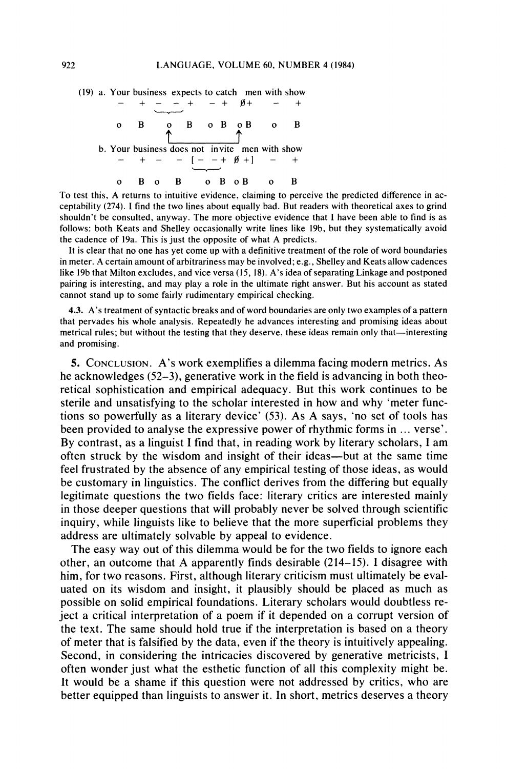

**To test this, A returns to intuitive evidence, claiming to perceive the predicted difference in acceptability (274). I find the two lines about equally bad. But readers with theoretical axes to grind shouldn't be consulted, anyway. The more objective evidence that I have been able to find is as follows: both Keats and Shelley occasionally write lines like 19b, but they systematically avoid the cadence of 19a. This is just the opposite of what A predicts.** 

**It is clear that no one has yet come up with a definitive treatment of the role of word boundaries in meter. A certain amount of arbitrariness may be involved; e.g., Shelley and Keats allow cadences like 19b that Milton excludes, and vice versa (15, 18). A's idea of separating Linkage and postponed pairing is interesting, and may play a role in the ultimate right answer. But his account as stated cannot stand up to some fairly rudimentary empirical checking.** 

**4.3. A's treatment of syntactic breaks and of word boundaries are only two examples of a pattern that pervades his whole analysis. Repeatedly he advances interesting and promising ideas about**  metrical rules; but without the testing that they deserve, these ideas remain only that—interesting **and promising.** 

**5. CONCLUSION. A's work exemplifies a dilemma facing modern metrics. As he acknowledges (52-3), generative work in the field is advancing in both theoretical sophistication and empirical adequacy. But this work continues to be sterile and unsatisfying to the scholar interested in how and why 'meter functions so powerfully as a literary device' (53). As A says, 'no set of tools has been provided to analyse the expressive power of rhythmic forms in ... verse'. By contrast, as a linguist I find that, in reading work by literary scholars, I am often struck by the wisdom and insight of their ideas-but at the same time feel frustrated by the absence of any empirical testing of those ideas, as would be customary in linguistics. The conflict derives from the differing but equally legitimate questions the two fields face: literary critics are interested mainly in those deeper questions that will probably never be solved through scientific inquiry, while linguists like to believe that the more superficial problems they address are ultimately solvable by appeal to evidence.** 

**The easy way out of this dilemma would be for the two fields to ignore each other, an outcome that A apparently finds desirable (214-15). I disagree with him, for two reasons. First, although literary criticism must ultimately be evaluated on its wisdom and insight, it plausibly should be placed as much as possible on solid empirical foundations. Literary scholars would doubtless reject a critical interpretation of a poem if it depended on a corrupt version of the text. The same should hold true if the interpretation is based on a theory of meter that is falsified by the data, even if the theory is intuitively appealing. Second, in considering the intricacies discovered by generative metricists, I often wonder just what the esthetic function of all this complexity might be. It would be a shame if this question were not addressed by critics, who are better equipped than linguists to answer it. In short, metrics deserves a theory**